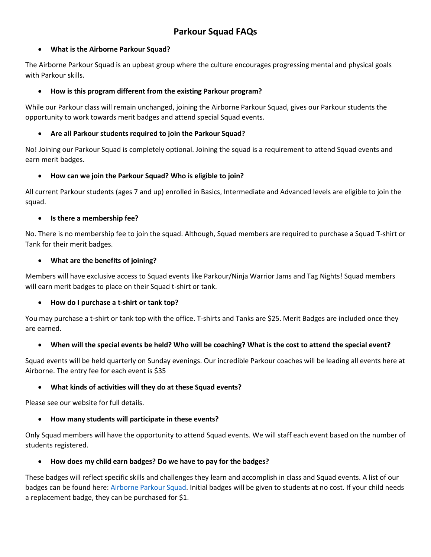# **Parkour Squad FAQs**

# • **What is the Airborne Parkour Squad?**

The Airborne Parkour Squad is an upbeat group where the culture encourages progressing mental and physical goals with Parkour skills.

# • **How is this program different from the existing Parkour program?**

While our Parkour class will remain unchanged, joining the Airborne Parkour Squad, gives our Parkour students the opportunity to work towards merit badges and attend special Squad events.

# • **Are all Parkour students required to join the Parkour Squad?**

No! Joining our Parkour Squad is completely optional. Joining the squad is a requirement to attend Squad events and earn merit badges.

# • **How can we join the Parkour Squad? Who is eligible to join?**

All current Parkour students (ages 7 and up) enrolled in Basics, Intermediate and Advanced levels are eligible to join the squad.

# • **Is there a membership fee?**

No. There is no membership fee to join the squad. Although, Squad members are required to purchase a Squad T-shirt or Tank for their merit badges.

# • **What are the benefits of joining?**

Members will have exclusive access to Squad events like Parkour/Ninja Warrior Jams and Tag Nights! Squad members will earn merit badges to place on their Squad t-shirt or tank.

#### • **How do I purchase a t-shirt or tank top?**

You may purchase a t-shirt or tank top with the office. T-shirts and Tanks are \$25. Merit Badges are included once they are earned.

# • **When will the special events be held? Who will be coaching? What is the cost to attend the special event?**

Squad events will be held quarterly on Sunday evenings. Our incredible Parkour coaches will be leading all events here at Airborne. The entry fee for each event is \$35

#### • **What kinds of activities will they do at these Squad events?**

Please see our website for full details.

#### • **How many students will participate in these events?**

Only Squad members will have the opportunity to attend Squad events. We will staff each event based on the number of students registered.

#### • **How does my child earn badges? Do we have to pay for the badges?**

These badges will reflect specific skills and challenges they learn and accomplish in class and Squad events. A list of our badges can be found here: [Airborne Parkour Squad.](https://airborne-gymnastics.com/programs/parkour-squad/) Initial badges will be given to students at no cost. If your child needs a replacement badge, they can be purchased for \$1.